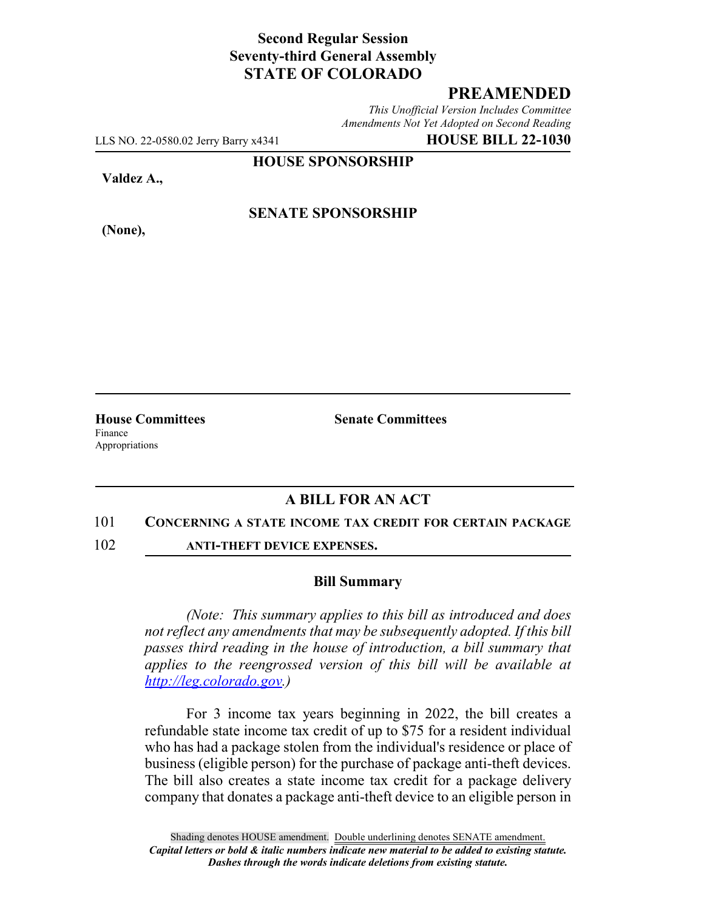### **Second Regular Session Seventy-third General Assembly STATE OF COLORADO**

## **PREAMENDED**

*This Unofficial Version Includes Committee Amendments Not Yet Adopted on Second Reading*

LLS NO. 22-0580.02 Jerry Barry x4341 **HOUSE BILL 22-1030**

**HOUSE SPONSORSHIP**

**Valdez A.,**

**(None),**

#### **SENATE SPONSORSHIP**

Finance Appropriations

**House Committees Senate Committees**

## **A BILL FOR AN ACT**

#### 101 **CONCERNING A STATE INCOME TAX CREDIT FOR CERTAIN PACKAGE**

102 **ANTI-THEFT DEVICE EXPENSES.**

#### **Bill Summary**

*(Note: This summary applies to this bill as introduced and does not reflect any amendments that may be subsequently adopted. If this bill passes third reading in the house of introduction, a bill summary that applies to the reengrossed version of this bill will be available at http://leg.colorado.gov.)*

For 3 income tax years beginning in 2022, the bill creates a refundable state income tax credit of up to \$75 for a resident individual who has had a package stolen from the individual's residence or place of business (eligible person) for the purchase of package anti-theft devices. The bill also creates a state income tax credit for a package delivery company that donates a package anti-theft device to an eligible person in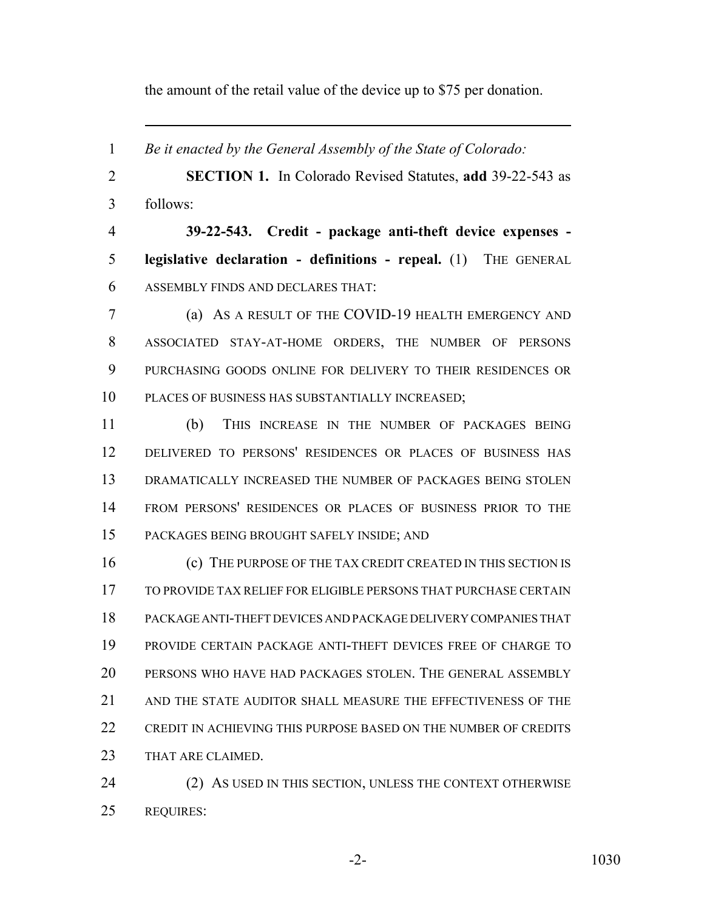the amount of the retail value of the device up to \$75 per donation.

 *Be it enacted by the General Assembly of the State of Colorado:* **SECTION 1.** In Colorado Revised Statutes, **add** 39-22-543 as follows: **39-22-543. Credit - package anti-theft device expenses - legislative declaration - definitions - repeal.** (1) THE GENERAL ASSEMBLY FINDS AND DECLARES THAT: (a) AS A RESULT OF THE COVID-19 HEALTH EMERGENCY AND ASSOCIATED STAY-AT-HOME ORDERS, THE NUMBER OF PERSONS PURCHASING GOODS ONLINE FOR DELIVERY TO THEIR RESIDENCES OR PLACES OF BUSINESS HAS SUBSTANTIALLY INCREASED; (b) THIS INCREASE IN THE NUMBER OF PACKAGES BEING DELIVERED TO PERSONS' RESIDENCES OR PLACES OF BUSINESS HAS DRAMATICALLY INCREASED THE NUMBER OF PACKAGES BEING STOLEN FROM PERSONS' RESIDENCES OR PLACES OF BUSINESS PRIOR TO THE PACKAGES BEING BROUGHT SAFELY INSIDE; AND (c) THE PURPOSE OF THE TAX CREDIT CREATED IN THIS SECTION IS TO PROVIDE TAX RELIEF FOR ELIGIBLE PERSONS THAT PURCHASE CERTAIN PACKAGE ANTI-THEFT DEVICES AND PACKAGE DELIVERY COMPANIES THAT PROVIDE CERTAIN PACKAGE ANTI-THEFT DEVICES FREE OF CHARGE TO PERSONS WHO HAVE HAD PACKAGES STOLEN. THE GENERAL ASSEMBLY AND THE STATE AUDITOR SHALL MEASURE THE EFFECTIVENESS OF THE 22 CREDIT IN ACHIEVING THIS PURPOSE BASED ON THE NUMBER OF CREDITS 23 THAT ARE CLAIMED. 24 (2) AS USED IN THIS SECTION, UNLESS THE CONTEXT OTHERWISE

REQUIRES: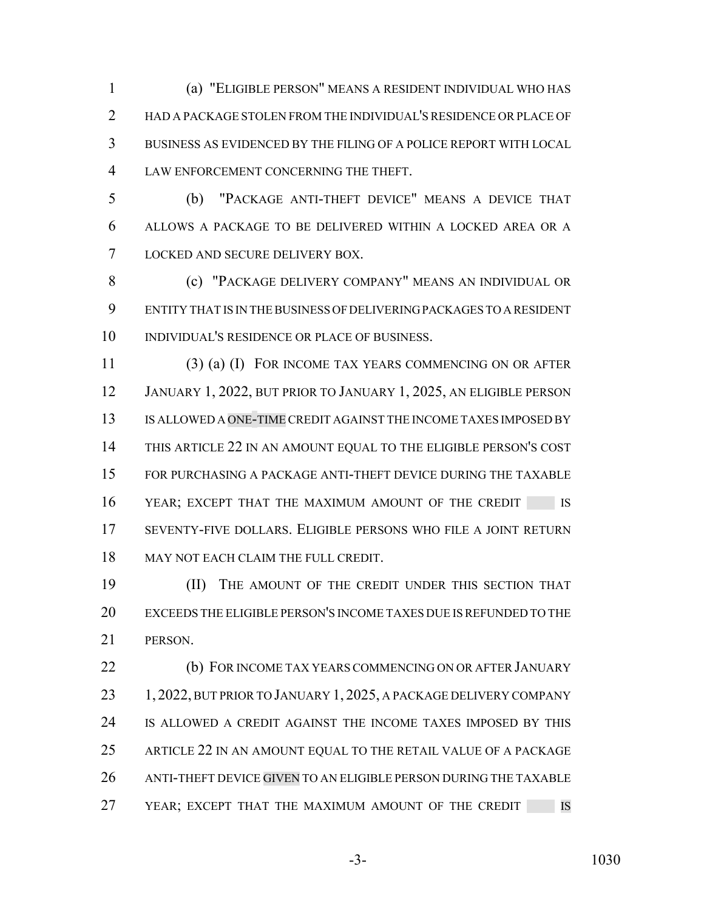(a) "ELIGIBLE PERSON" MEANS A RESIDENT INDIVIDUAL WHO HAS HAD A PACKAGE STOLEN FROM THE INDIVIDUAL'S RESIDENCE OR PLACE OF BUSINESS AS EVIDENCED BY THE FILING OF A POLICE REPORT WITH LOCAL LAW ENFORCEMENT CONCERNING THE THEFT.

 (b) "PACKAGE ANTI-THEFT DEVICE" MEANS A DEVICE THAT ALLOWS A PACKAGE TO BE DELIVERED WITHIN A LOCKED AREA OR A LOCKED AND SECURE DELIVERY BOX.

 (c) "PACKAGE DELIVERY COMPANY" MEANS AN INDIVIDUAL OR ENTITY THAT IS IN THE BUSINESS OF DELIVERING PACKAGES TO A RESIDENT INDIVIDUAL'S RESIDENCE OR PLACE OF BUSINESS.

 (3) (a) (I) FOR INCOME TAX YEARS COMMENCING ON OR AFTER JANUARY 1, 2022, BUT PRIOR TO JANUARY 1, 2025, AN ELIGIBLE PERSON IS ALLOWED A ONE-TIME CREDIT AGAINST THE INCOME TAXES IMPOSED BY THIS ARTICLE 22 IN AN AMOUNT EQUAL TO THE ELIGIBLE PERSON'S COST FOR PURCHASING A PACKAGE ANTI-THEFT DEVICE DURING THE TAXABLE 16 YEAR; EXCEPT THAT THE MAXIMUM AMOUNT OF THE CREDIT IS SEVENTY-FIVE DOLLARS. ELIGIBLE PERSONS WHO FILE A JOINT RETURN 18 MAY NOT EACH CLAIM THE FULL CREDIT.

 (II) THE AMOUNT OF THE CREDIT UNDER THIS SECTION THAT EXCEEDS THE ELIGIBLE PERSON'S INCOME TAXES DUE IS REFUNDED TO THE PERSON.

 (b) FOR INCOME TAX YEARS COMMENCING ON OR AFTER JANUARY 23 1, 2022, BUT PRIOR TO JANUARY 1, 2025, A PACKAGE DELIVERY COMPANY IS ALLOWED A CREDIT AGAINST THE INCOME TAXES IMPOSED BY THIS ARTICLE 22 IN AN AMOUNT EQUAL TO THE RETAIL VALUE OF A PACKAGE ANTI-THEFT DEVICE GIVEN TO AN ELIGIBLE PERSON DURING THE TAXABLE 27 YEAR; EXCEPT THAT THE MAXIMUM AMOUNT OF THE CREDIT IS